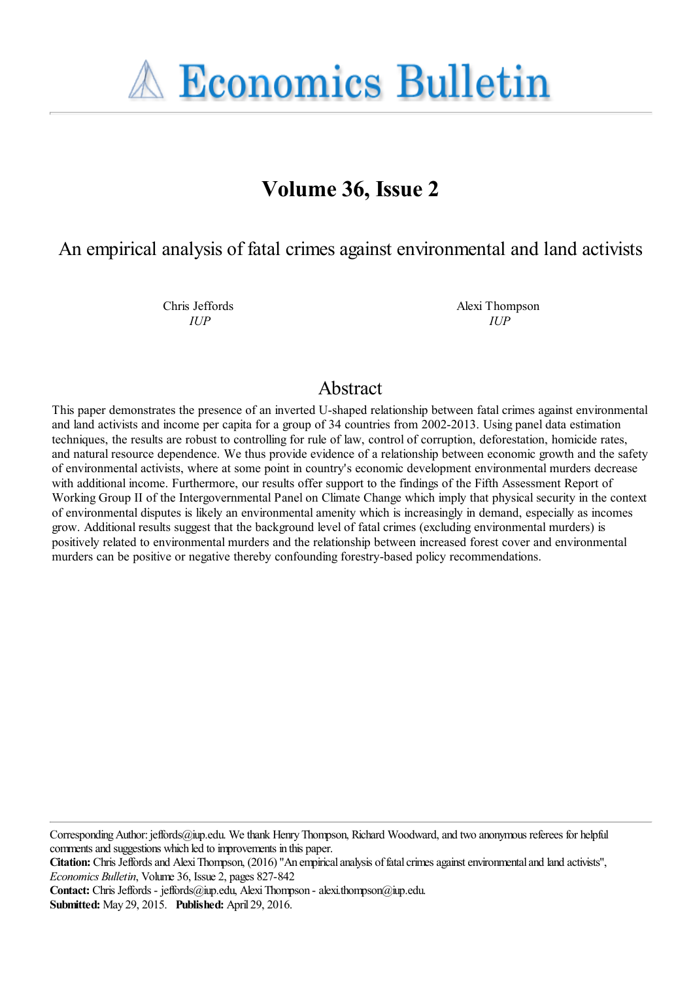**A Economics Bulletin** 

# **Volume 36, Issue 2**

An empirical analysis of fatal crimes against environmental and land activists

Chris Jeffords *IUP*

Alexi Thompson *IUP*

## Abstract

This paper demonstrates the presence of an inverted U-shaped relationship between fatal crimes against environmental and land activists and income per capita for a group of 34 countries from 2002-2013. Using panel data estimation techniques, the results are robust to controlling for rule of law, control of corruption, deforestation, homicide rates, and natural resource dependence. We thus provide evidence of a relationship between economic growth and the safety of environmental activists, where at some point in country's economic development environmental murders decrease with additional income. Furthermore, our results offer support to the findings of the Fifth Assessment Report of Working Group II of the Intergovernmental Panel on Climate Change which imply that physical security in the context of environmental disputes is likely an environmental amenity which is increasingly in demand, especially as incomes grow. Additional results suggest that the background level of fatal crimes (excluding environmental murders) is positively related to environmental murders and the relationship between increased forest cover and environmental murders can be positive or negative thereby confounding forestry-based policy recommendations.

Corresponding Author: jeffords@iup.edu. We thank Henry Thompson, Richard Woodward, and two anonymous referees for helpful comments and suggestions which led to improvements in this paper.

**Citation:** Chris Jeffords and Alexi Thompson, (2016) ''An empirical analysis of fatal crimes against environmental and land activists'', *Economics Bulletin*, Volume 36, Issue 2, pages 827-842

Contact: Chris Jeffords - jeffords@iup.edu, Alexi Thompson - alexi.thompson@iup.edu.

**Submitted:** May 29, 2015. **Published:** April 29, 2016.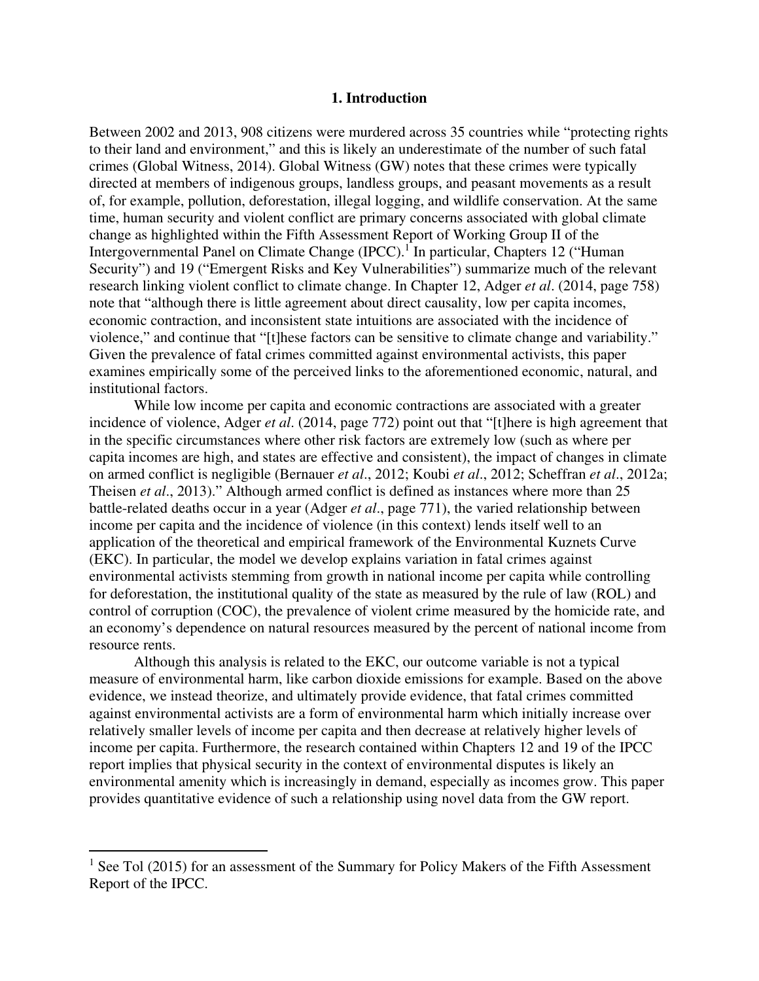#### **1. Introduction**

Between 2002 and 2013, 908 citizens were murdered across 35 countries while "protecting rights to their land and environment," and this is likely an underestimate of the number of such fatal crimes (Global Witness, 2014). Global Witness (GW) notes that these crimes were typically directed at members of indigenous groups, landless groups, and peasant movements as a result of, for example, pollution, deforestation, illegal logging, and wildlife conservation. At the same time, human security and violent conflict are primary concerns associated with global climate change as highlighted within the Fifth Assessment Report of Working Group II of the Intergovernmental Panel on Climate Change (IPCC).<sup>1</sup> In particular, Chapters 12 ("Human Security") and 19 ("Emergent Risks and Key Vulnerabilities") summarize much of the relevant research linking violent conflict to climate change. In Chapter 12, Adger *et al*. (2014, page 758) note that "although there is little agreement about direct causality, low per capita incomes, economic contraction, and inconsistent state intuitions are associated with the incidence of violence," and continue that "[t]hese factors can be sensitive to climate change and variability." Given the prevalence of fatal crimes committed against environmental activists, this paper examines empirically some of the perceived links to the aforementioned economic, natural, and institutional factors.

While low income per capita and economic contractions are associated with a greater incidence of violence, Adger *et al*. (2014, page 772) point out that "[t]here is high agreement that in the specific circumstances where other risk factors are extremely low (such as where per capita incomes are high, and states are effective and consistent), the impact of changes in climate on armed conflict is negligible (Bernauer *et al*., 2012; Koubi *et al*., 2012; Scheffran *et al*., 2012a; Theisen *et al*., 2013)." Although armed conflict is defined as instances where more than 25 battle-related deaths occur in a year (Adger *et al*., page 771), the varied relationship between income per capita and the incidence of violence (in this context) lends itself well to an application of the theoretical and empirical framework of the Environmental Kuznets Curve (EKC). In particular, the model we develop explains variation in fatal crimes against environmental activists stemming from growth in national income per capita while controlling for deforestation, the institutional quality of the state as measured by the rule of law (ROL) and control of corruption (COC), the prevalence of violent crime measured by the homicide rate, and an economy's dependence on natural resources measured by the percent of national income from resource rents.

Although this analysis is related to the EKC, our outcome variable is not a typical measure of environmental harm, like carbon dioxide emissions for example. Based on the above evidence, we instead theorize, and ultimately provide evidence, that fatal crimes committed against environmental activists are a form of environmental harm which initially increase over relatively smaller levels of income per capita and then decrease at relatively higher levels of income per capita. Furthermore, the research contained within Chapters 12 and 19 of the IPCC report implies that physical security in the context of environmental disputes is likely an environmental amenity which is increasingly in demand, especially as incomes grow. This paper provides quantitative evidence of such a relationship using novel data from the GW report.

 $<sup>1</sup>$  See Tol (2015) for an assessment of the Summary for Policy Makers of the Fifth Assessment</sup> Report of the IPCC.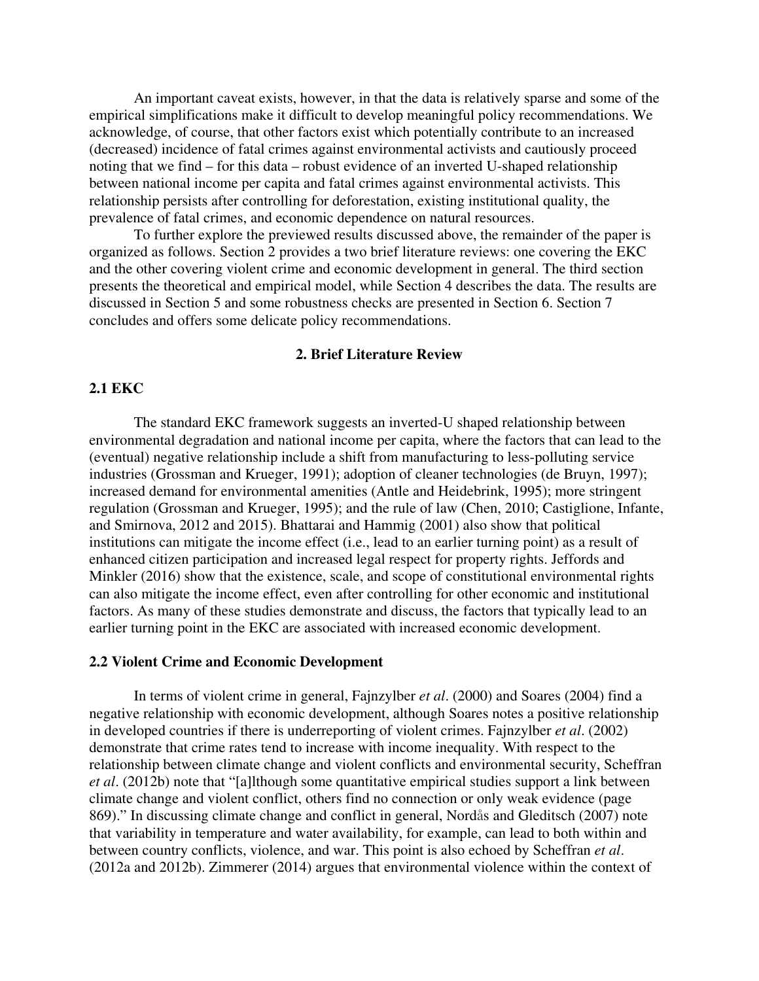An important caveat exists, however, in that the data is relatively sparse and some of the empirical simplifications make it difficult to develop meaningful policy recommendations. We acknowledge, of course, that other factors exist which potentially contribute to an increased (decreased) incidence of fatal crimes against environmental activists and cautiously proceed noting that we find – for this data – robust evidence of an inverted U-shaped relationship between national income per capita and fatal crimes against environmental activists. This relationship persists after controlling for deforestation, existing institutional quality, the prevalence of fatal crimes, and economic dependence on natural resources.

To further explore the previewed results discussed above, the remainder of the paper is organized as follows. Section 2 provides a two brief literature reviews: one covering the EKC and the other covering violent crime and economic development in general. The third section presents the theoretical and empirical model, while Section 4 describes the data. The results are discussed in Section 5 and some robustness checks are presented in Section 6. Section 7 concludes and offers some delicate policy recommendations.

### **2. Brief Literature Review**

### **2.1 EKC**

The standard EKC framework suggests an inverted-U shaped relationship between environmental degradation and national income per capita, where the factors that can lead to the (eventual) negative relationship include a shift from manufacturing to less-polluting service industries (Grossman and Krueger, 1991); adoption of cleaner technologies (de Bruyn, 1997); increased demand for environmental amenities (Antle and Heidebrink, 1995); more stringent regulation (Grossman and Krueger, 1995); and the rule of law (Chen, 2010; Castiglione, Infante, and Smirnova, 2012 and 2015). Bhattarai and Hammig (2001) also show that political institutions can mitigate the income effect (i.e., lead to an earlier turning point) as a result of enhanced citizen participation and increased legal respect for property rights. Jeffords and Minkler (2016) show that the existence, scale, and scope of constitutional environmental rights can also mitigate the income effect, even after controlling for other economic and institutional factors. As many of these studies demonstrate and discuss, the factors that typically lead to an earlier turning point in the EKC are associated with increased economic development.

### **2.2 Violent Crime and Economic Development**

In terms of violent crime in general, Fajnzylber *et al*. (2000) and Soares (2004) find a negative relationship with economic development, although Soares notes a positive relationship in developed countries if there is underreporting of violent crimes. Fajnzylber *et al*. (2002) demonstrate that crime rates tend to increase with income inequality. With respect to the relationship between climate change and violent conflicts and environmental security, Scheffran *et al*. (2012b) note that "[a]lthough some quantitative empirical studies support a link between climate change and violent conflict, others find no connection or only weak evidence (page 869)." In discussing climate change and conflict in general, Nordås and Gleditsch (2007) note that variability in temperature and water availability, for example, can lead to both within and between country conflicts, violence, and war. This point is also echoed by Scheffran *et al*. (2012a and 2012b). Zimmerer (2014) argues that environmental violence within the context of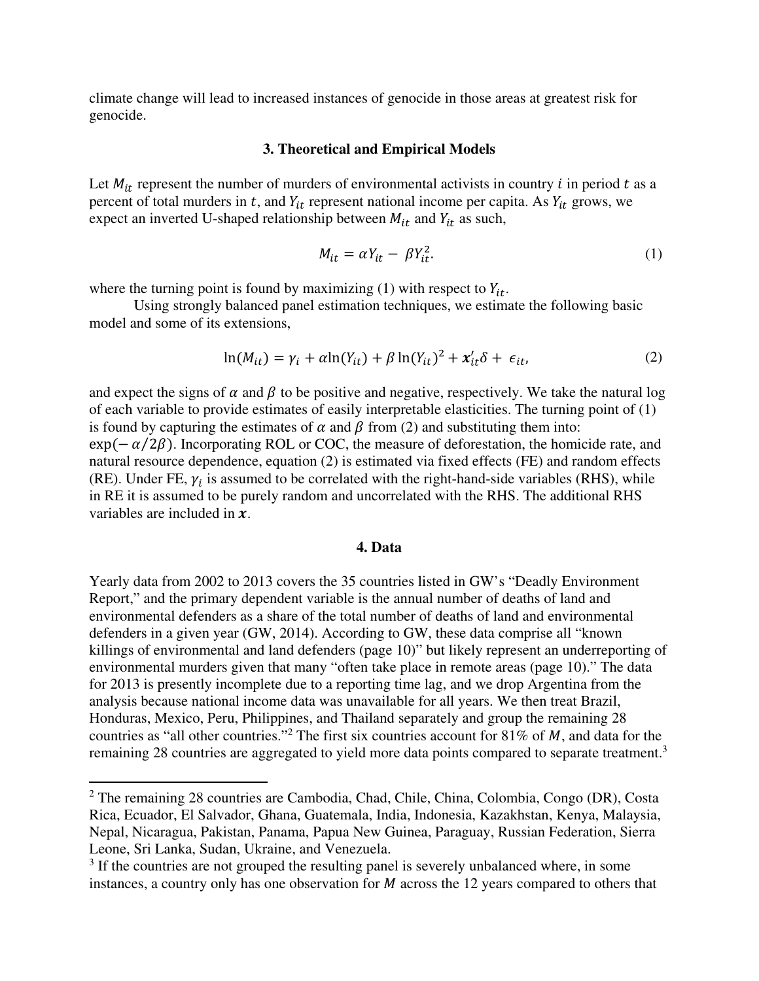climate change will lead to increased instances of genocide in those areas at greatest risk for genocide.

#### **3. Theoretical and Empirical Models**

Let  $M_{it}$  represent the number of murders of environmental activists in country i in period t as a percent of total murders in  $t$ , and  $Y_{it}$  represent national income per capita. As  $Y_{it}$  grows, we expect an inverted U-shaped relationship between  $M_{it}$  and  $Y_{it}$  as such,

$$
M_{it} = \alpha Y_{it} - \beta Y_{it}^2. \tag{1}
$$

where the turning point is found by maximizing (1) with respect to  $Y_{it}$ .

Using strongly balanced panel estimation techniques, we estimate the following basic model and some of its extensions,

$$
\ln(M_{it}) = \gamma_i + \alpha \ln(Y_{it}) + \beta \ln(Y_{it})^2 + x_{it}' \delta + \epsilon_{it}, \tag{2}
$$

and expect the signs of  $\alpha$  and  $\beta$  to be positive and negative, respectively. We take the natural log of each variable to provide estimates of easily interpretable elasticities. The turning point of (1) is found by capturing the estimates of  $\alpha$  and  $\beta$  from (2) and substituting them into:  $\exp(-\alpha/2\beta)$ . Incorporating ROL or COC, the measure of deforestation, the homicide rate, and natural resource dependence, equation (2) is estimated via fixed effects (FE) and random effects (RE). Under FE,  $\gamma_i$  is assumed to be correlated with the right-hand-side variables (RHS), while in RE it is assumed to be purely random and uncorrelated with the RHS. The additional RHS variables are included in  $\mathbf{x}$ .

#### **4. Data**

Yearly data from 2002 to 2013 covers the 35 countries listed in GW's "Deadly Environment Report," and the primary dependent variable is the annual number of deaths of land and environmental defenders as a share of the total number of deaths of land and environmental defenders in a given year (GW, 2014). According to GW, these data comprise all "known killings of environmental and land defenders (page 10)" but likely represent an underreporting of environmental murders given that many "often take place in remote areas (page 10)." The data for 2013 is presently incomplete due to a reporting time lag, and we drop Argentina from the analysis because national income data was unavailable for all years. We then treat Brazil, Honduras, Mexico, Peru, Philippines, and Thailand separately and group the remaining 28 countries as "all other countries."<sup>2</sup> The first six countries account for 81% of M, and data for the remaining 28 countries are aggregated to yield more data points compared to separate treatment.<sup>3</sup>

<sup>&</sup>lt;sup>2</sup> The remaining 28 countries are Cambodia, Chad, Chile, China, Colombia, Congo (DR), Costa Rica, Ecuador, El Salvador, Ghana, Guatemala, India, Indonesia, Kazakhstan, Kenya, Malaysia, Nepal, Nicaragua, Pakistan, Panama, Papua New Guinea, Paraguay, Russian Federation, Sierra Leone, Sri Lanka, Sudan, Ukraine, and Venezuela.

<sup>&</sup>lt;sup>3</sup> If the countries are not grouped the resulting panel is severely unbalanced where, in some instances, a country only has one observation for  $M$  across the 12 years compared to others that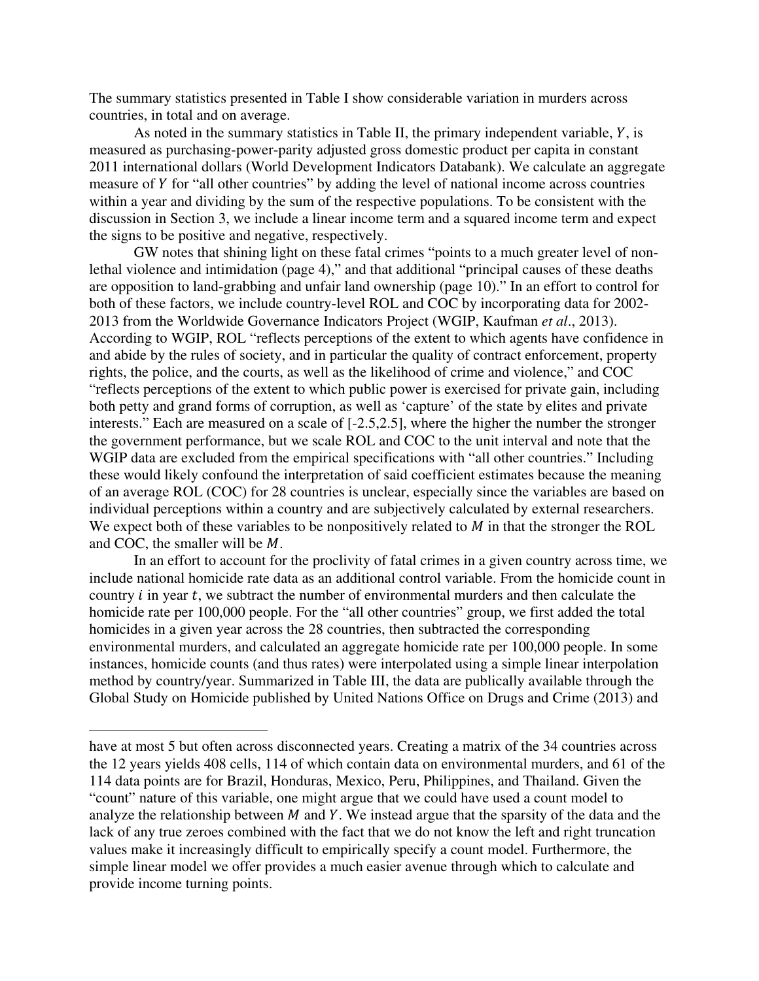The summary statistics presented in Table I show considerable variation in murders across countries, in total and on average.

As noted in the summary statistics in Table II, the primary independent variable,  $Y$ , is measured as purchasing-power-parity adjusted gross domestic product per capita in constant 2011 international dollars (World Development Indicators Databank). We calculate an aggregate measure of Y for "all other countries" by adding the level of national income across countries within a year and dividing by the sum of the respective populations. To be consistent with the discussion in Section 3, we include a linear income term and a squared income term and expect the signs to be positive and negative, respectively.

GW notes that shining light on these fatal crimes "points to a much greater level of nonlethal violence and intimidation (page 4)," and that additional "principal causes of these deaths are opposition to land-grabbing and unfair land ownership (page 10)." In an effort to control for both of these factors, we include country-level ROL and COC by incorporating data for 2002- 2013 from the Worldwide Governance Indicators Project (WGIP, Kaufman *et al*., 2013). According to WGIP, ROL "reflects perceptions of the extent to which agents have confidence in and abide by the rules of society, and in particular the quality of contract enforcement, property rights, the police, and the courts, as well as the likelihood of crime and violence," and COC "reflects perceptions of the extent to which public power is exercised for private gain, including both petty and grand forms of corruption, as well as 'capture' of the state by elites and private interests." Each are measured on a scale of [-2.5,2.5], where the higher the number the stronger the government performance, but we scale ROL and COC to the unit interval and note that the WGIP data are excluded from the empirical specifications with "all other countries." Including these would likely confound the interpretation of said coefficient estimates because the meaning of an average ROL (COC) for 28 countries is unclear, especially since the variables are based on individual perceptions within a country and are subjectively calculated by external researchers. We expect both of these variables to be nonpositively related to  $M$  in that the stronger the ROL and COC, the smaller will be  $M$ .

In an effort to account for the proclivity of fatal crimes in a given country across time, we include national homicide rate data as an additional control variable. From the homicide count in country  $i$  in year  $t$ , we subtract the number of environmental murders and then calculate the homicide rate per 100,000 people. For the "all other countries" group, we first added the total homicides in a given year across the 28 countries, then subtracted the corresponding environmental murders, and calculated an aggregate homicide rate per 100,000 people. In some instances, homicide counts (and thus rates) were interpolated using a simple linear interpolation method by country/year. Summarized in Table III, the data are publically available through the Global Study on Homicide published by United Nations Office on Drugs and Crime (2013) and

have at most 5 but often across disconnected years. Creating a matrix of the 34 countries across the 12 years yields 408 cells, 114 of which contain data on environmental murders, and 61 of the 114 data points are for Brazil, Honduras, Mexico, Peru, Philippines, and Thailand. Given the "count" nature of this variable, one might argue that we could have used a count model to analyze the relationship between  $M$  and  $Y$ . We instead argue that the sparsity of the data and the lack of any true zeroes combined with the fact that we do not know the left and right truncation values make it increasingly difficult to empirically specify a count model. Furthermore, the simple linear model we offer provides a much easier avenue through which to calculate and provide income turning points.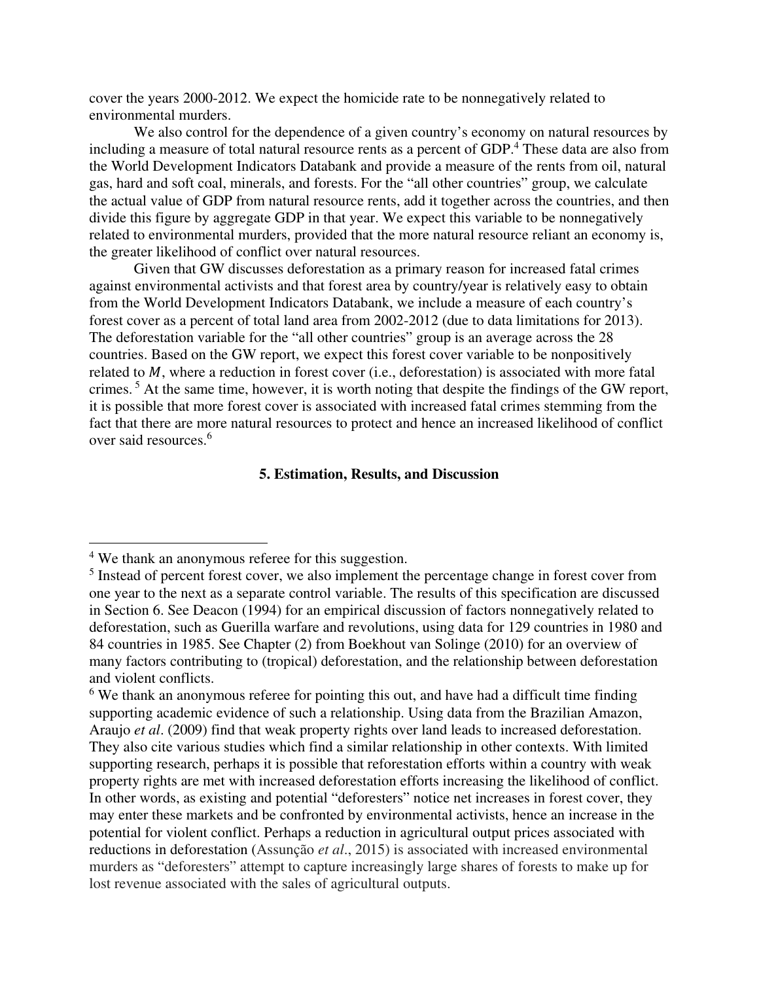cover the years 2000-2012. We expect the homicide rate to be nonnegatively related to environmental murders.

We also control for the dependence of a given country's economy on natural resources by including a measure of total natural resource rents as a percent of GDP.<sup>4</sup> These data are also from the World Development Indicators Databank and provide a measure of the rents from oil, natural gas, hard and soft coal, minerals, and forests. For the "all other countries" group, we calculate the actual value of GDP from natural resource rents, add it together across the countries, and then divide this figure by aggregate GDP in that year. We expect this variable to be nonnegatively related to environmental murders, provided that the more natural resource reliant an economy is, the greater likelihood of conflict over natural resources.

Given that GW discusses deforestation as a primary reason for increased fatal crimes against environmental activists and that forest area by country/year is relatively easy to obtain from the World Development Indicators Databank, we include a measure of each country's forest cover as a percent of total land area from 2002-2012 (due to data limitations for 2013). The deforestation variable for the "all other countries" group is an average across the 28 countries. Based on the GW report, we expect this forest cover variable to be nonpositively related to  $M$ , where a reduction in forest cover (i.e., deforestation) is associated with more fatal crimes.<sup>5</sup> At the same time, however, it is worth noting that despite the findings of the GW report, it is possible that more forest cover is associated with increased fatal crimes stemming from the fact that there are more natural resources to protect and hence an increased likelihood of conflict over said resources.<sup>6</sup>

#### **5. Estimation, Results, and Discussion**

<sup>&</sup>lt;sup>4</sup> We thank an anonymous referee for this suggestion.

<sup>&</sup>lt;sup>5</sup> Instead of percent forest cover, we also implement the percentage change in forest cover from one year to the next as a separate control variable. The results of this specification are discussed in Section 6. See Deacon (1994) for an empirical discussion of factors nonnegatively related to deforestation, such as Guerilla warfare and revolutions, using data for 129 countries in 1980 and 84 countries in 1985. See Chapter (2) from Boekhout van Solinge (2010) for an overview of many factors contributing to (tropical) deforestation, and the relationship between deforestation and violent conflicts.

<sup>&</sup>lt;sup>6</sup> We thank an anonymous referee for pointing this out, and have had a difficult time finding supporting academic evidence of such a relationship. Using data from the Brazilian Amazon, Araujo *et al*. (2009) find that weak property rights over land leads to increased deforestation. They also cite various studies which find a similar relationship in other contexts. With limited supporting research, perhaps it is possible that reforestation efforts within a country with weak property rights are met with increased deforestation efforts increasing the likelihood of conflict. In other words, as existing and potential "deforesters" notice net increases in forest cover, they may enter these markets and be confronted by environmental activists, hence an increase in the potential for violent conflict. Perhaps a reduction in agricultural output prices associated with reductions in deforestation (Assunção *et al*., 2015) is associated with increased environmental murders as "deforesters" attempt to capture increasingly large shares of forests to make up for lost revenue associated with the sales of agricultural outputs.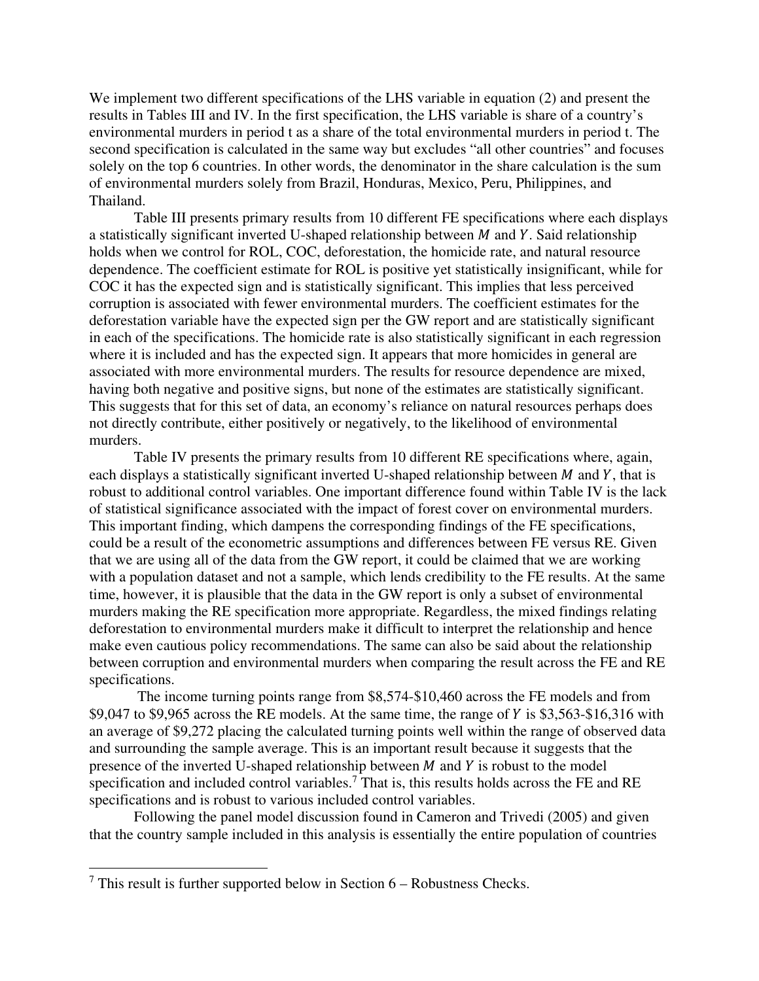We implement two different specifications of the LHS variable in equation (2) and present the results in Tables III and IV. In the first specification, the LHS variable is share of a country's environmental murders in period t as a share of the total environmental murders in period t. The second specification is calculated in the same way but excludes "all other countries" and focuses solely on the top 6 countries. In other words, the denominator in the share calculation is the sum of environmental murders solely from Brazil, Honduras, Mexico, Peru, Philippines, and Thailand.

Table III presents primary results from 10 different FE specifications where each displays a statistically significant inverted U-shaped relationship between  $M$  and  $Y$ . Said relationship holds when we control for ROL, COC, deforestation, the homicide rate, and natural resource dependence. The coefficient estimate for ROL is positive yet statistically insignificant, while for COC it has the expected sign and is statistically significant. This implies that less perceived corruption is associated with fewer environmental murders. The coefficient estimates for the deforestation variable have the expected sign per the GW report and are statistically significant in each of the specifications. The homicide rate is also statistically significant in each regression where it is included and has the expected sign. It appears that more homicides in general are associated with more environmental murders. The results for resource dependence are mixed, having both negative and positive signs, but none of the estimates are statistically significant. This suggests that for this set of data, an economy's reliance on natural resources perhaps does not directly contribute, either positively or negatively, to the likelihood of environmental murders.

Table IV presents the primary results from 10 different RE specifications where, again, each displays a statistically significant inverted U-shaped relationship between  $M$  and  $Y$ , that is robust to additional control variables. One important difference found within Table IV is the lack of statistical significance associated with the impact of forest cover on environmental murders. This important finding, which dampens the corresponding findings of the FE specifications, could be a result of the econometric assumptions and differences between FE versus RE. Given that we are using all of the data from the GW report, it could be claimed that we are working with a population dataset and not a sample, which lends credibility to the FE results. At the same time, however, it is plausible that the data in the GW report is only a subset of environmental murders making the RE specification more appropriate. Regardless, the mixed findings relating deforestation to environmental murders make it difficult to interpret the relationship and hence make even cautious policy recommendations. The same can also be said about the relationship between corruption and environmental murders when comparing the result across the FE and RE specifications.

 The income turning points range from \$8,574-\$10,460 across the FE models and from  $$9,047$  to  $$9,965$  across the RE models. At the same time, the range of Y is  $$3,563-\$16,316$  with an average of \$9,272 placing the calculated turning points well within the range of observed data and surrounding the sample average. This is an important result because it suggests that the presence of the inverted U-shaped relationship between  $M$  and  $Y$  is robust to the model specification and included control variables.<sup>7</sup> That is, this results holds across the FE and RE specifications and is robust to various included control variables.

Following the panel model discussion found in Cameron and Trivedi (2005) and given that the country sample included in this analysis is essentially the entire population of countries

 $7$  This result is further supported below in Section  $6$  – Robustness Checks.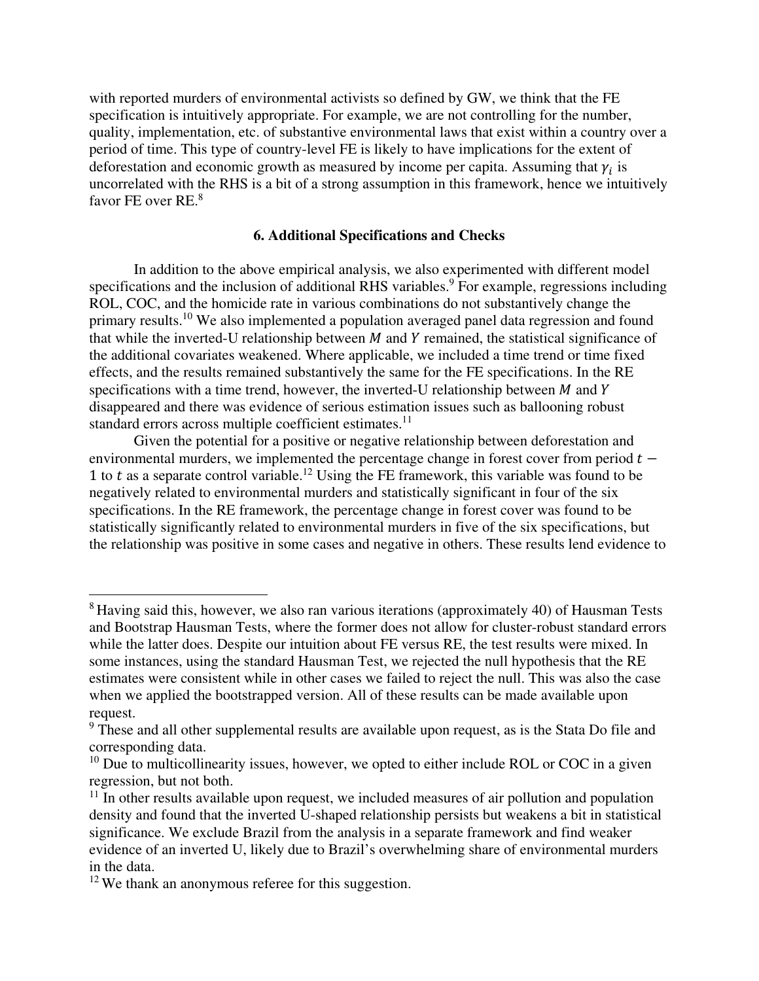with reported murders of environmental activists so defined by GW, we think that the FE specification is intuitively appropriate. For example, we are not controlling for the number, quality, implementation, etc. of substantive environmental laws that exist within a country over a period of time. This type of country-level FE is likely to have implications for the extent of deforestation and economic growth as measured by income per capita. Assuming that  $\gamma_i$  is uncorrelated with the RHS is a bit of a strong assumption in this framework, hence we intuitively favor FE over RE.<sup>8</sup>

### **6. Additional Specifications and Checks**

In addition to the above empirical analysis, we also experimented with different model specifications and the inclusion of additional RHS variables.<sup>9</sup> For example, regressions including ROL, COC, and the homicide rate in various combinations do not substantively change the primary results.<sup>10</sup> We also implemented a population averaged panel data regression and found that while the inverted-U relationship between  $M$  and  $Y$  remained, the statistical significance of the additional covariates weakened. Where applicable, we included a time trend or time fixed effects, and the results remained substantively the same for the FE specifications. In the RE specifications with a time trend, however, the inverted-U relationship between  $M$  and  $Y$ disappeared and there was evidence of serious estimation issues such as ballooning robust standard errors across multiple coefficient estimates.<sup>11</sup>

Given the potential for a positive or negative relationship between deforestation and environmental murders, we implemented the percentage change in forest cover from period  $t -$ 1 to  $t$  as a separate control variable.<sup>12</sup> Using the FE framework, this variable was found to be negatively related to environmental murders and statistically significant in four of the six specifications. In the RE framework, the percentage change in forest cover was found to be statistically significantly related to environmental murders in five of the six specifications, but the relationship was positive in some cases and negative in others. These results lend evidence to

<sup>&</sup>lt;sup>8</sup> Having said this, however, we also ran various iterations (approximately 40) of Hausman Tests and Bootstrap Hausman Tests, where the former does not allow for cluster-robust standard errors while the latter does. Despite our intuition about FE versus RE, the test results were mixed. In some instances, using the standard Hausman Test, we rejected the null hypothesis that the RE estimates were consistent while in other cases we failed to reject the null. This was also the case when we applied the bootstrapped version. All of these results can be made available upon request.

<sup>&</sup>lt;sup>9</sup> These and all other supplemental results are available upon request, as is the Stata Do file and corresponding data.

 $10$  Due to multicollinearity issues, however, we opted to either include ROL or COC in a given regression, but not both.

 $11$  In other results available upon request, we included measures of air pollution and population density and found that the inverted U-shaped relationship persists but weakens a bit in statistical significance. We exclude Brazil from the analysis in a separate framework and find weaker evidence of an inverted U, likely due to Brazil's overwhelming share of environmental murders in the data.

<sup>&</sup>lt;sup>12</sup> We thank an anonymous referee for this suggestion.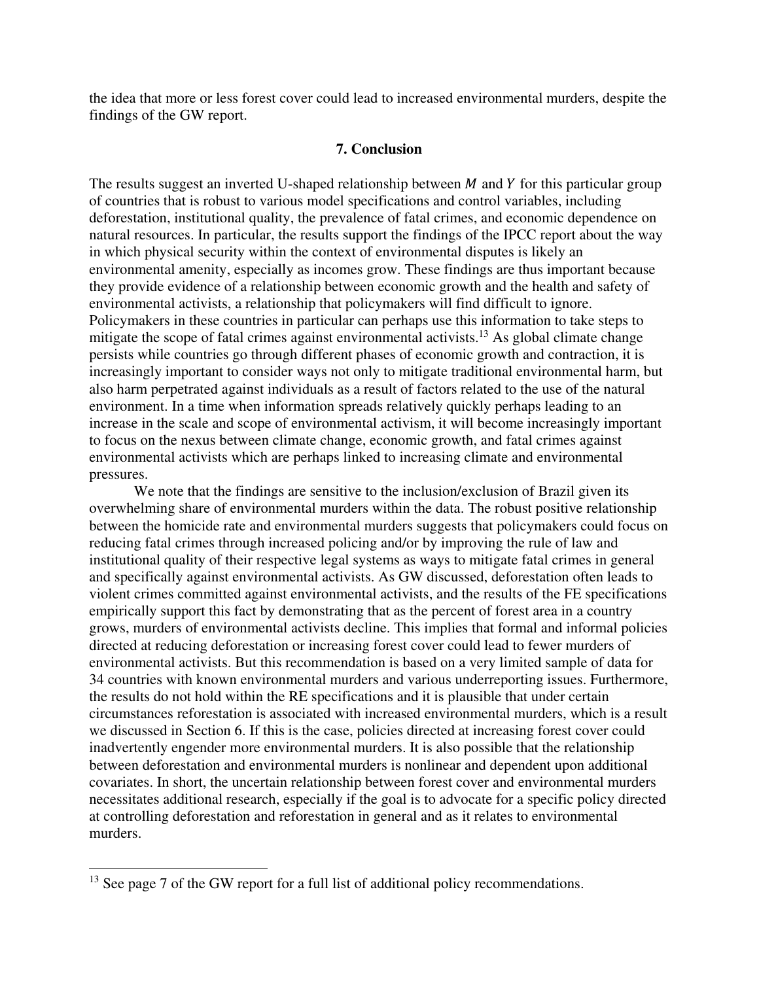the idea that more or less forest cover could lead to increased environmental murders, despite the findings of the GW report.

#### **7. Conclusion**

The results suggest an inverted U-shaped relationship between  $M$  and  $Y$  for this particular group of countries that is robust to various model specifications and control variables, including deforestation, institutional quality, the prevalence of fatal crimes, and economic dependence on natural resources. In particular, the results support the findings of the IPCC report about the way in which physical security within the context of environmental disputes is likely an environmental amenity, especially as incomes grow. These findings are thus important because they provide evidence of a relationship between economic growth and the health and safety of environmental activists, a relationship that policymakers will find difficult to ignore. Policymakers in these countries in particular can perhaps use this information to take steps to mitigate the scope of fatal crimes against environmental activists.<sup>13</sup> As global climate change persists while countries go through different phases of economic growth and contraction, it is increasingly important to consider ways not only to mitigate traditional environmental harm, but also harm perpetrated against individuals as a result of factors related to the use of the natural environment. In a time when information spreads relatively quickly perhaps leading to an increase in the scale and scope of environmental activism, it will become increasingly important to focus on the nexus between climate change, economic growth, and fatal crimes against environmental activists which are perhaps linked to increasing climate and environmental pressures.

We note that the findings are sensitive to the inclusion/exclusion of Brazil given its overwhelming share of environmental murders within the data. The robust positive relationship between the homicide rate and environmental murders suggests that policymakers could focus on reducing fatal crimes through increased policing and/or by improving the rule of law and institutional quality of their respective legal systems as ways to mitigate fatal crimes in general and specifically against environmental activists. As GW discussed, deforestation often leads to violent crimes committed against environmental activists, and the results of the FE specifications empirically support this fact by demonstrating that as the percent of forest area in a country grows, murders of environmental activists decline. This implies that formal and informal policies directed at reducing deforestation or increasing forest cover could lead to fewer murders of environmental activists. But this recommendation is based on a very limited sample of data for 34 countries with known environmental murders and various underreporting issues. Furthermore, the results do not hold within the RE specifications and it is plausible that under certain circumstances reforestation is associated with increased environmental murders, which is a result we discussed in Section 6. If this is the case, policies directed at increasing forest cover could inadvertently engender more environmental murders. It is also possible that the relationship between deforestation and environmental murders is nonlinear and dependent upon additional covariates. In short, the uncertain relationship between forest cover and environmental murders necessitates additional research, especially if the goal is to advocate for a specific policy directed at controlling deforestation and reforestation in general and as it relates to environmental murders.

<sup>&</sup>lt;sup>13</sup> See page 7 of the GW report for a full list of additional policy recommendations.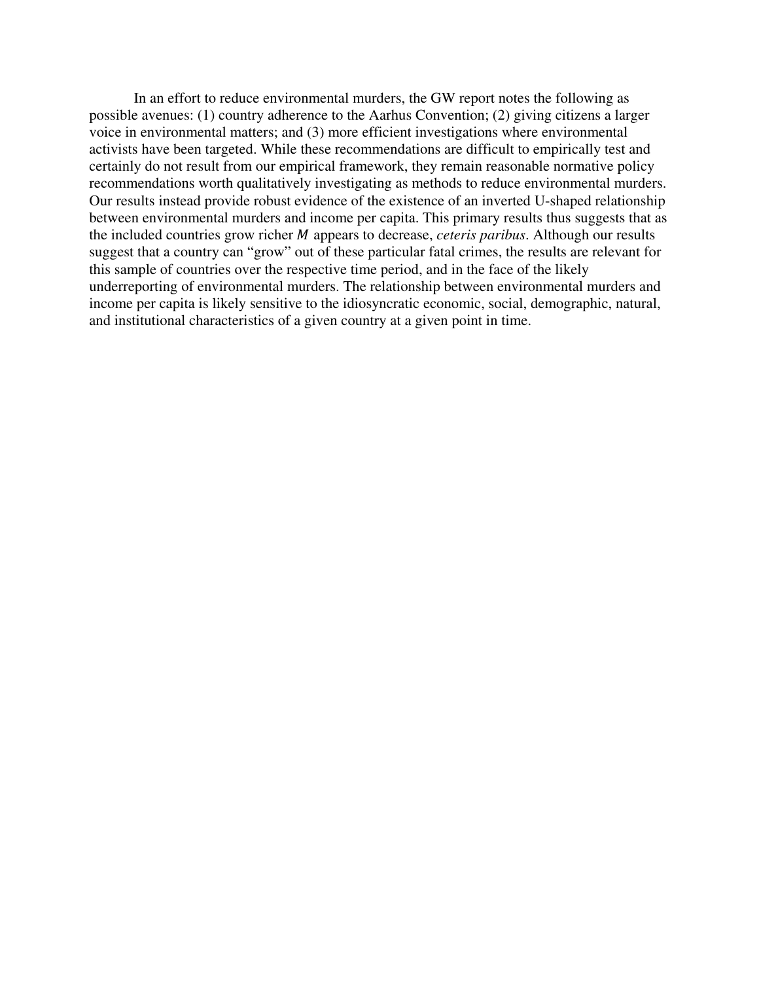In an effort to reduce environmental murders, the GW report notes the following as possible avenues: (1) country adherence to the Aarhus Convention; (2) giving citizens a larger voice in environmental matters; and (3) more efficient investigations where environmental activists have been targeted. While these recommendations are difficult to empirically test and certainly do not result from our empirical framework, they remain reasonable normative policy recommendations worth qualitatively investigating as methods to reduce environmental murders. Our results instead provide robust evidence of the existence of an inverted U-shaped relationship between environmental murders and income per capita. This primary results thus suggests that as the included countries grow richer *M* appears to decrease, *ceteris paribus*. Although our results suggest that a country can "grow" out of these particular fatal crimes, the results are relevant for this sample of countries over the respective time period, and in the face of the likely underreporting of environmental murders. The relationship between environmental murders and income per capita is likely sensitive to the idiosyncratic economic, social, demographic, natural, and institutional characteristics of a given country at a given point in time.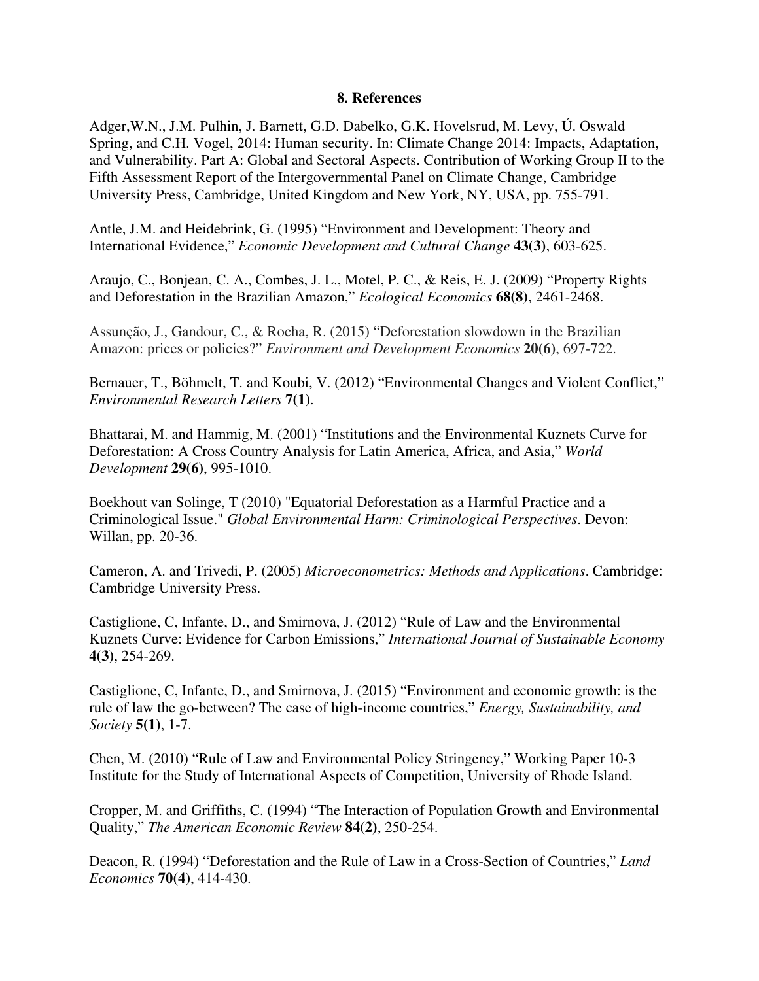### **8. References**

Adger,W.N., J.M. Pulhin, J. Barnett, G.D. Dabelko, G.K. Hovelsrud, M. Levy, Ú. Oswald Spring, and C.H. Vogel, 2014: Human security. In: Climate Change 2014: Impacts, Adaptation, and Vulnerability. Part A: Global and Sectoral Aspects. Contribution of Working Group II to the Fifth Assessment Report of the Intergovernmental Panel on Climate Change, Cambridge University Press, Cambridge, United Kingdom and New York, NY, USA, pp. 755-791.

Antle, J.M. and Heidebrink, G. (1995) "Environment and Development: Theory and International Evidence," *Economic Development and Cultural Change* **43(3)**, 603-625.

Araujo, C., Bonjean, C. A., Combes, J. L., Motel, P. C., & Reis, E. J. (2009) "Property Rights and Deforestation in the Brazilian Amazon," *Ecological Economics* **68(8)**, 2461-2468.

Assunção, J., Gandour, C., & Rocha, R. (2015) "Deforestation slowdown in the Brazilian Amazon: prices or policies?" *Environment and Development Economics* **20(6)**, 697-722.

Bernauer, T., Böhmelt, T. and Koubi, V. (2012) "Environmental Changes and Violent Conflict," *Environmental Research Letters* **7(1)**.

Bhattarai, M. and Hammig, M. (2001) "Institutions and the Environmental Kuznets Curve for Deforestation: A Cross Country Analysis for Latin America, Africa, and Asia," *World Development* **29(6)**, 995-1010.

Boekhout van Solinge, T (2010) "Equatorial Deforestation as a Harmful Practice and a Criminological Issue." *Global Environmental Harm: Criminological Perspectives*. Devon: Willan, pp. 20-36.

Cameron, A. and Trivedi, P. (2005) *Microeconometrics: Methods and Applications*. Cambridge: Cambridge University Press.

Castiglione, C, Infante, D., and Smirnova, J. (2012) "Rule of Law and the Environmental Kuznets Curve: Evidence for Carbon Emissions," *International Journal of Sustainable Economy* **4(3)**, 254-269.

Castiglione, C, Infante, D., and Smirnova, J. (2015) "Environment and economic growth: is the rule of law the go-between? The case of high-income countries," *Energy, Sustainability, and Society* **5(1)**, 1-7.

Chen, M. (2010) "Rule of Law and Environmental Policy Stringency," Working Paper 10-3 Institute for the Study of International Aspects of Competition, University of Rhode Island.

Cropper, M. and Griffiths, C. (1994) "The Interaction of Population Growth and Environmental Quality," *The American Economic Review* **84(2)**, 250-254.

Deacon, R. (1994) "Deforestation and the Rule of Law in a Cross-Section of Countries," *Land Economics* **70(4)**, 414-430.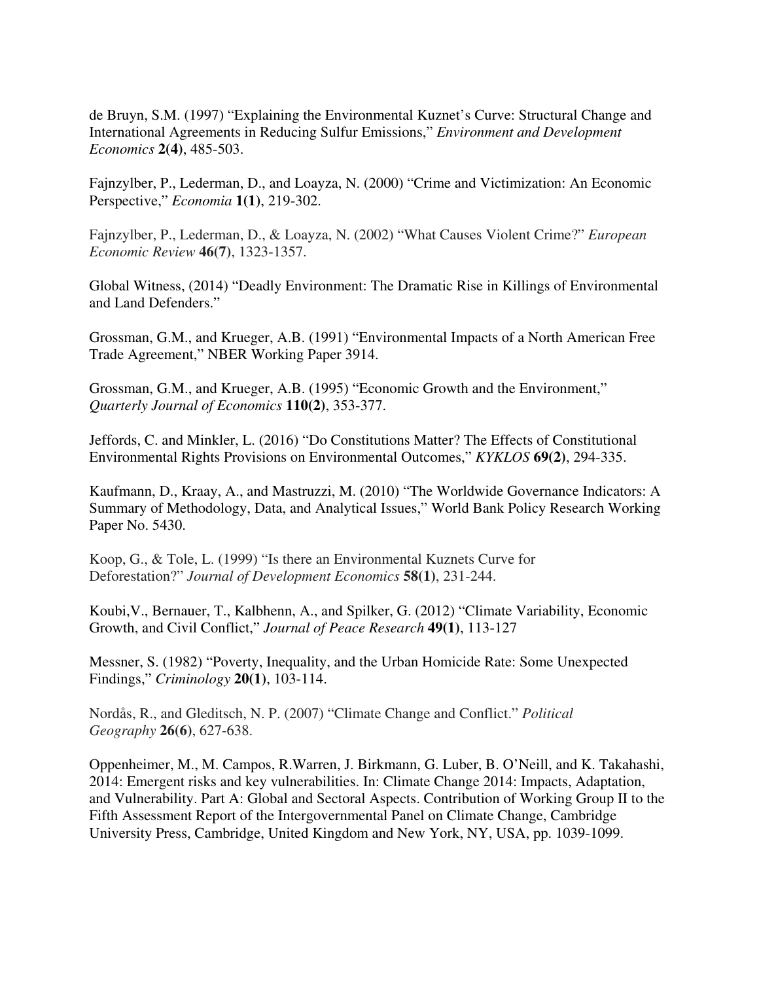de Bruyn, S.M. (1997) "Explaining the Environmental Kuznet's Curve: Structural Change and International Agreements in Reducing Sulfur Emissions," *Environment and Development Economics* **2(4)**, 485-503.

Fajnzylber, P., Lederman, D., and Loayza, N. (2000) "Crime and Victimization: An Economic Perspective," *Economia* **1(1)**, 219-302.

Fajnzylber, P., Lederman, D., & Loayza, N. (2002) "What Causes Violent Crime?" *European Economic Review* **46(7)**, 1323-1357.

Global Witness, (2014) "Deadly Environment: The Dramatic Rise in Killings of Environmental and Land Defenders."

Grossman, G.M., and Krueger, A.B. (1991) "Environmental Impacts of a North American Free Trade Agreement," NBER Working Paper 3914.

Grossman, G.M., and Krueger, A.B. (1995) "Economic Growth and the Environment," *Quarterly Journal of Economics* **110(2)**, 353-377.

Jeffords, C. and Minkler, L. (2016) "Do Constitutions Matter? The Effects of Constitutional Environmental Rights Provisions on Environmental Outcomes," *KYKLOS* **69(2)**, 294-335.

Kaufmann, D., Kraay, A., and Mastruzzi, M. (2010) "The Worldwide Governance Indicators: A Summary of Methodology, Data, and Analytical Issues," World Bank Policy Research Working Paper No. 5430.

Koop, G., & Tole, L. (1999) "Is there an Environmental Kuznets Curve for Deforestation?" *Journal of Development Economics* **58(1)**, 231-244.

Koubi,V., Bernauer, T., Kalbhenn, A., and Spilker, G. (2012) "Climate Variability, Economic Growth, and Civil Conflict," *Journal of Peace Research* **49(1)**, 113-127

Messner, S. (1982) "Poverty, Inequality, and the Urban Homicide Rate: Some Unexpected Findings," *Criminology* **20(1)**, 103-114.

Nordås, R., and Gleditsch, N. P. (2007) "Climate Change and Conflict." *Political Geography* **26(6)**, 627-638.

Oppenheimer, M., M. Campos, R.Warren, J. Birkmann, G. Luber, B. O'Neill, and K. Takahashi, 2014: Emergent risks and key vulnerabilities. In: Climate Change 2014: Impacts, Adaptation, and Vulnerability. Part A: Global and Sectoral Aspects. Contribution of Working Group II to the Fifth Assessment Report of the Intergovernmental Panel on Climate Change, Cambridge University Press, Cambridge, United Kingdom and New York, NY, USA, pp. 1039-1099.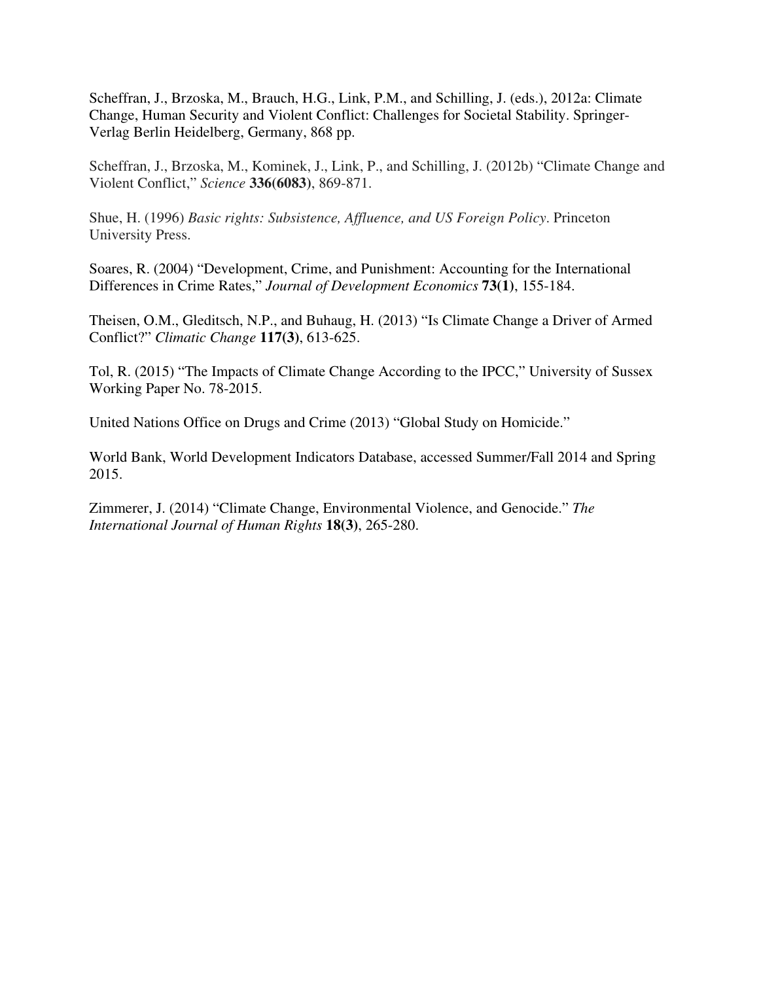Scheffran, J., Brzoska, M., Brauch, H.G., Link, P.M., and Schilling, J. (eds.), 2012a: Climate Change, Human Security and Violent Conflict: Challenges for Societal Stability. Springer-Verlag Berlin Heidelberg, Germany, 868 pp.

Scheffran, J., Brzoska, M., Kominek, J., Link, P., and Schilling, J. (2012b) "Climate Change and Violent Conflict," *Science* **336(6083)**, 869-871.

Shue, H. (1996) *Basic rights: Subsistence, Affluence, and US Foreign Policy*. Princeton University Press.

Soares, R. (2004) "Development, Crime, and Punishment: Accounting for the International Differences in Crime Rates," *Journal of Development Economics* **73(1)**, 155-184.

Theisen, O.M., Gleditsch, N.P., and Buhaug, H. (2013) "Is Climate Change a Driver of Armed Conflict?" *Climatic Change* **117(3)**, 613-625.

Tol, R. (2015) "The Impacts of Climate Change According to the IPCC," University of Sussex Working Paper No. 78-2015.

United Nations Office on Drugs and Crime (2013) "Global Study on Homicide."

World Bank, World Development Indicators Database, accessed Summer/Fall 2014 and Spring 2015.

Zimmerer, J. (2014) "Climate Change, Environmental Violence, and Genocide." *The International Journal of Human Rights* **18(3)**, 265-280.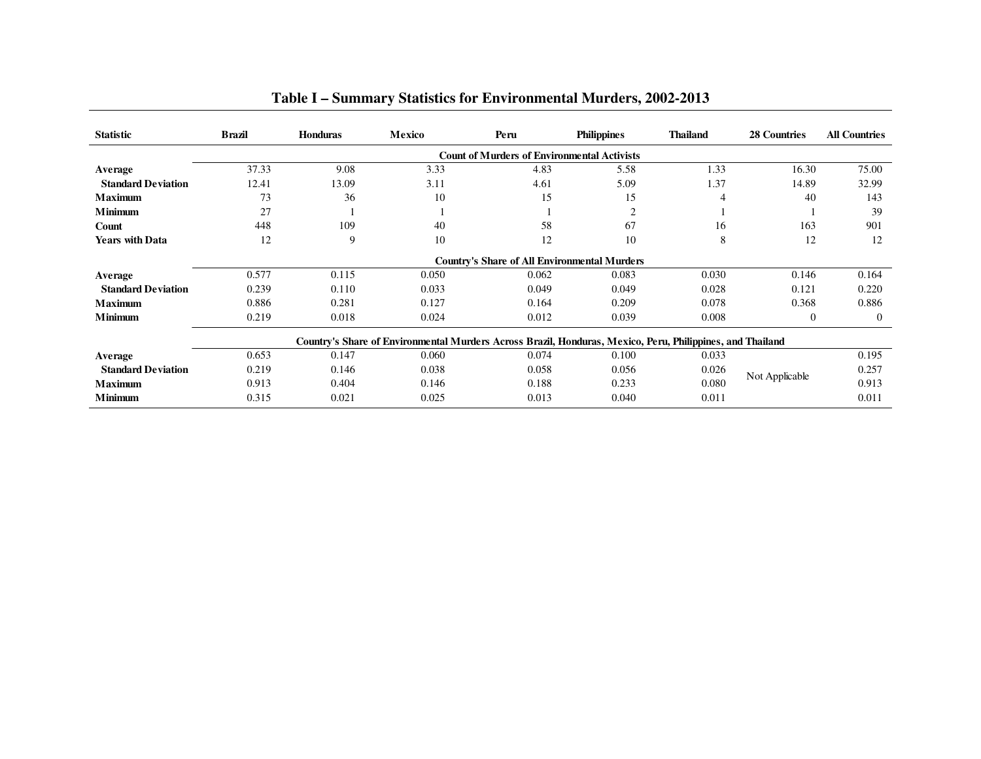| <b>Statistic</b>          | <b>Brazil</b> | <b>Honduras</b> | Mexico | Peru                                                                                                      | <b>Philippines</b> | <b>Thailand</b> | 28 Countries   | <b>All Countries</b>             |  |  |  |  |  |  |  |  |  |  |
|---------------------------|---------------|-----------------|--------|-----------------------------------------------------------------------------------------------------------|--------------------|-----------------|----------------|----------------------------------|--|--|--|--|--|--|--|--|--|--|
|                           |               |                 |        | <b>Count of Murders of Environmental Activists</b>                                                        |                    |                 |                |                                  |  |  |  |  |  |  |  |  |  |  |
| Average                   | 37.33         | 9.08            | 3.33   | 4.83                                                                                                      | 5.58               | 1.33            | 16.30          | 75.00                            |  |  |  |  |  |  |  |  |  |  |
| <b>Standard Deviation</b> | 12.41         | 13.09           | 3.11   | 4.61                                                                                                      | 5.09               | 1.37            | 14.89          | 32.99                            |  |  |  |  |  |  |  |  |  |  |
| <b>Maximum</b>            | 73            | 36              | 10     | 15                                                                                                        | 15                 | 4               | 40             | 143                              |  |  |  |  |  |  |  |  |  |  |
| <b>Minimum</b>            | 27            |                 |        |                                                                                                           | $\overline{c}$     |                 |                | 39                               |  |  |  |  |  |  |  |  |  |  |
| Count                     | 448           | 109             | 40     | 58                                                                                                        | 67                 | 16              | 163            | 901                              |  |  |  |  |  |  |  |  |  |  |
| <b>Years with Data</b>    | 12            | 9               | 10     | 12                                                                                                        | 10                 | 8               | 12             | 12                               |  |  |  |  |  |  |  |  |  |  |
|                           |               |                 |        | <b>Country's Share of All Environmental Murders</b>                                                       |                    |                 |                | 0.146<br>0.164<br>0.220<br>0.121 |  |  |  |  |  |  |  |  |  |  |
| Average                   | 0.577         | 0.115           | 0.050  | 0.062                                                                                                     | 0.083              | 0.030           |                |                                  |  |  |  |  |  |  |  |  |  |  |
| <b>Standard Deviation</b> | 0.239         | 0.110           | 0.033  | 0.049                                                                                                     | 0.049              | 0.028           |                |                                  |  |  |  |  |  |  |  |  |  |  |
| <b>Maximum</b>            | 0.886         | 0.281           | 0.127  | 0.164                                                                                                     | 0.209              | 0.078           | 0.368          | 0.886                            |  |  |  |  |  |  |  |  |  |  |
| <b>Minimum</b>            | 0.219         | 0.018           | 0.024  | 0.012                                                                                                     | 0.039              | 0.008           | $\theta$       | $\theta$                         |  |  |  |  |  |  |  |  |  |  |
|                           |               |                 |        | Country's Share of Environmental Murders Across Brazil, Honduras, Mexico, Peru, Philippines, and Thailand |                    |                 |                |                                  |  |  |  |  |  |  |  |  |  |  |
| Average                   | 0.653         | 0.147           | 0.060  | 0.074                                                                                                     | 0.100              | 0.033           |                | 0.195                            |  |  |  |  |  |  |  |  |  |  |
| <b>Standard Deviation</b> | 0.219         | 0.146           | 0.038  | 0.058                                                                                                     | 0.056              | 0.026           |                | 0.257                            |  |  |  |  |  |  |  |  |  |  |
| <b>Maximum</b>            | 0.913         | 0.404           | 0.146  | 0.188                                                                                                     | 0.233              | 0.080           | Not Applicable | 0.913                            |  |  |  |  |  |  |  |  |  |  |
| <b>Minimum</b>            | 0.315         | 0.021           | 0.025  | 0.013                                                                                                     | 0.040              | 0.011           |                | 0.011                            |  |  |  |  |  |  |  |  |  |  |

# **Table I – Summary Statistics for Environmental Murders, 2002-2013**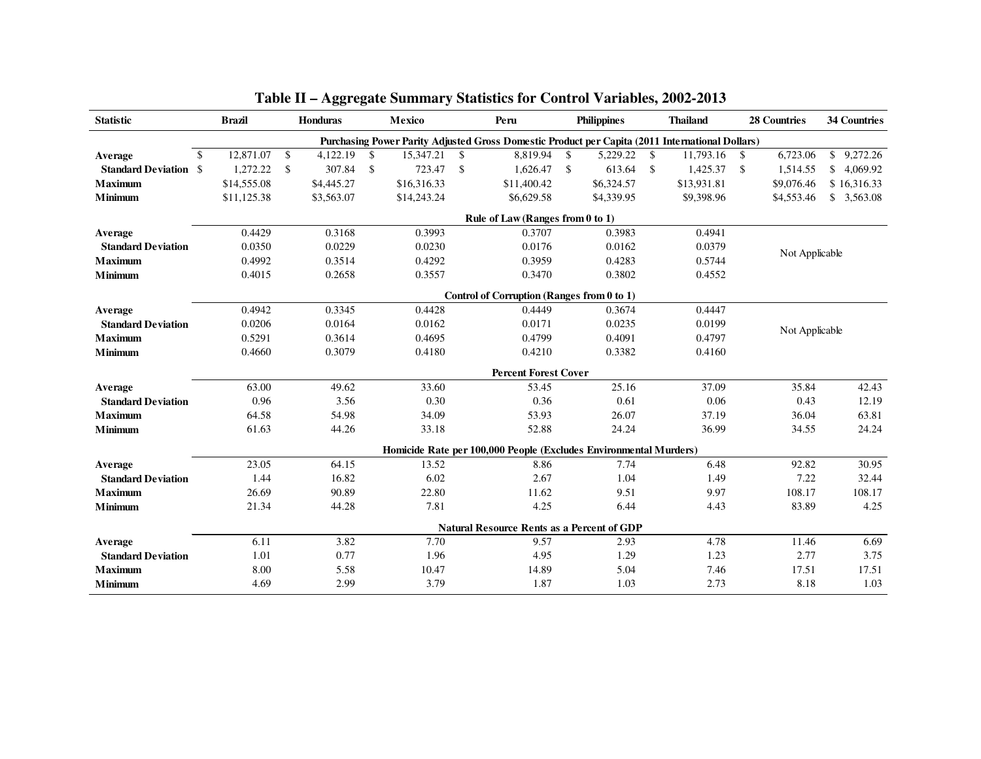| <b>Statistic</b>             |               | <b>Brazil</b> | <b>Honduras</b> |                    | Mexico      |                    | Peru                                                                                            |                    | <b>Philippines</b> |            | <b>Thailand</b> |               | <b>28 Countries</b> | <b>34 Countries</b> |  |  |  |
|------------------------------|---------------|---------------|-----------------|--------------------|-------------|--------------------|-------------------------------------------------------------------------------------------------|--------------------|--------------------|------------|-----------------|---------------|---------------------|---------------------|--|--|--|
|                              |               |               |                 |                    |             |                    | Purchasing Power Parity Adjusted Gross Domestic Product per Capita (2011 International Dollars) |                    |                    |            |                 |               |                     |                     |  |  |  |
| Average                      | $\mathcal{S}$ | 12,871.07     | \$<br>4,122.19  | $\mathbf{s}$       | 15,347.21   | $\mathcal{S}$      | 8,819.94                                                                                        | $\mathbb{S}$       | 5,229.22 \$        |            | 11,793.16       | <sup>\$</sup> | 6,723.06            | \$9,272.26          |  |  |  |
| <b>Standard Deviation \$</b> |               | 1,272.22      | \$<br>307.84    | $\mathbf{\hat{s}}$ | 723.47      | $\mathbf{\hat{S}}$ | 1,626.47                                                                                        | $\mathbf{\hat{S}}$ | 613.64             | $\sqrt{S}$ | 1,425.37        | \$            | 1,514.55            | \$4,069.92          |  |  |  |
| <b>Maximum</b>               |               | \$14,555.08   | \$4,445.27      |                    | \$16,316.33 |                    | \$11,400.42                                                                                     |                    | \$6,324.57         |            | \$13,931.81     |               | \$9,076.46          | \$16,316.33         |  |  |  |
| Minimum                      |               | \$11,125.38   | \$3,563.07      |                    | \$14,243.24 |                    | \$6,629.58                                                                                      |                    | \$4,339.95         |            | \$9,398.96      |               | \$4,553.46          | \$3,563.08          |  |  |  |
|                              |               |               |                 |                    |             |                    | Rule of Law (Ranges from 0 to 1)                                                                |                    |                    |            |                 |               |                     |                     |  |  |  |
| Average                      |               | 0.4429        | 0.3168          |                    | 0.3993      |                    | 0.3707                                                                                          |                    | 0.3983             |            | 0.4941          |               |                     |                     |  |  |  |
| <b>Standard Deviation</b>    |               | 0.0350        | 0.0229          |                    | 0.0230      |                    | 0.0176                                                                                          |                    | 0.0162             | 0.0379     |                 |               |                     | Not Applicable      |  |  |  |
| <b>Maximum</b>               |               | 0.4992        | 0.3514          |                    | 0.4292      |                    | 0.3959                                                                                          |                    | 0.4283             |            | 0.5744          |               |                     |                     |  |  |  |
| Minimum                      |               | 0.4015        | 0.2658          |                    | 0.3557      |                    | 0.3470                                                                                          |                    | 0.3802             |            | 0.4552          |               |                     |                     |  |  |  |
|                              |               |               |                 |                    |             |                    | Control of Corruption (Ranges from 0 to 1)                                                      |                    |                    |            |                 |               |                     |                     |  |  |  |
| Average                      |               | 0.4942        | 0.3345          |                    | 0.4428      |                    | 0.4449                                                                                          |                    | 0.3674             |            | 0.4447          |               |                     |                     |  |  |  |
| <b>Standard Deviation</b>    |               | 0.0206        | 0.0164          |                    | 0.0162      |                    | 0.0171                                                                                          |                    | 0.0235             |            | 0.0199          |               | Not Applicable      |                     |  |  |  |
| <b>Maximum</b>               |               | 0.5291        | 0.3614          |                    | 0.4695      |                    | 0.4799                                                                                          |                    | 0.4091             |            | 0.4797          |               |                     |                     |  |  |  |
| <b>Minimum</b>               |               | 0.4660        | 0.3079          |                    | 0.4180      |                    | 0.4210                                                                                          |                    | 0.3382             |            | 0.4160          |               |                     |                     |  |  |  |
|                              |               |               |                 |                    |             |                    | <b>Percent Forest Cover</b>                                                                     |                    |                    |            |                 |               |                     |                     |  |  |  |
| Average                      |               | 63.00         | 49.62           |                    | 33.60       |                    | 53.45                                                                                           |                    | 25.16              |            | 37.09           |               | 35.84               | 42.43               |  |  |  |
| <b>Standard Deviation</b>    |               | 0.96          | 3.56            |                    | 0.30        |                    | 0.36                                                                                            |                    | 0.61               |            | 0.06            |               | 0.43                | 12.19               |  |  |  |
| <b>Maximum</b>               |               | 64.58         | 54.98           |                    | 34.09       |                    | 53.93                                                                                           |                    | 26.07              |            | 37.19           |               | 36.04               | 63.81               |  |  |  |
| <b>Minimum</b>               |               | 61.63         | 44.26           |                    | 33.18       |                    | 52.88                                                                                           |                    | 24.24              |            | 36.99           |               | 34.55               | 24.24               |  |  |  |
|                              |               |               |                 |                    |             |                    | Homicide Rate per 100,000 People (Excludes Environmental Murders)                               |                    |                    |            |                 |               |                     |                     |  |  |  |
| Average                      |               | 23.05         | 64.15           |                    | 13.52       |                    | 8.86                                                                                            |                    | 7.74               |            | 6.48            |               | 92.82               | 30.95               |  |  |  |
| <b>Standard Deviation</b>    |               | 1.44          | 16.82           |                    | 6.02        |                    | 2.67                                                                                            |                    | 1.04               |            | 1.49            |               | 7.22                | 32.44               |  |  |  |
| <b>Maximum</b>               |               | 26.69         | 90.89           |                    | 22.80       |                    | 11.62                                                                                           |                    | 9.51               |            | 9.97            |               | 108.17              | 108.17              |  |  |  |
| <b>Minimum</b>               |               | 21.34         | 44.28           |                    | 7.81        |                    | 4.25                                                                                            |                    | 6.44               |            | 4.43            |               | 83.89               | 4.25                |  |  |  |
|                              |               |               |                 |                    |             |                    | <b>Natural Resource Rents as a Percent of GDP</b>                                               |                    |                    |            |                 |               |                     |                     |  |  |  |
| Average                      |               | 6.11          | 3.82            |                    | 7.70        |                    | 9.57                                                                                            |                    | 2.93               |            | 4.78            |               | 11.46               | 6.69                |  |  |  |
| <b>Standard Deviation</b>    |               | 1.01          | 0.77            |                    | 1.96        |                    | 4.95                                                                                            |                    | 1.29               |            | 1.23            |               | 2.77                | 3.75                |  |  |  |
| <b>Maximum</b>               |               | 8.00          | 5.58            |                    | 10.47       |                    | 14.89                                                                                           |                    | 5.04               |            | 7.46            |               | 17.51               | 17.51               |  |  |  |
| Minimum                      |               | 4.69          | 2.99            |                    | 3.79        |                    | 1.87                                                                                            |                    | 1.03               |            | 2.73            |               | 8.18                | 1.03                |  |  |  |

# **Table II – Aggregate Summary Statistics for Control Variables, 2002-2013**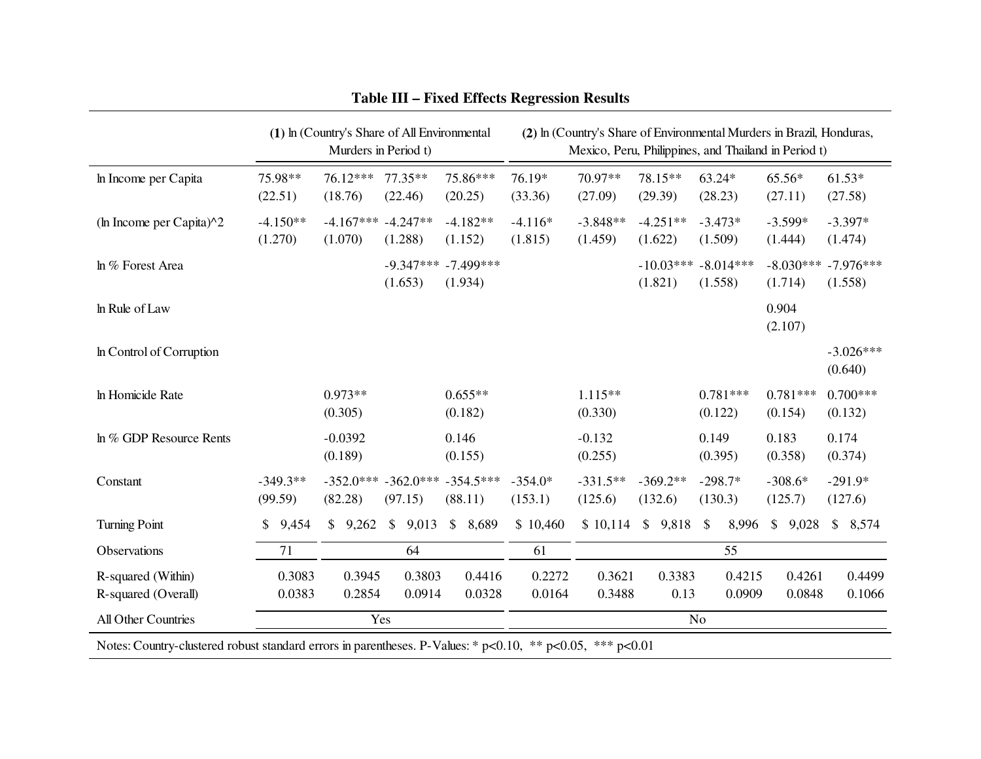|                                                                                                           | (2) In (Country's Share of Environmental Murders in Brazil, Honduras,<br>(1) In (Country's Share of All Environmental<br>Murders in Period t)<br>Mexico, Peru, Philippines, and Thailand in Period t) |                       |                        |                        |                        |                       |                        |                                    |                      |  |                       |                       |                                    |                      |                  |  |                      |                  |                      |                        |
|-----------------------------------------------------------------------------------------------------------|-------------------------------------------------------------------------------------------------------------------------------------------------------------------------------------------------------|-----------------------|------------------------|------------------------|------------------------|-----------------------|------------------------|------------------------------------|----------------------|--|-----------------------|-----------------------|------------------------------------|----------------------|------------------|--|----------------------|------------------|----------------------|------------------------|
| In Income per Capita                                                                                      |                                                                                                                                                                                                       | 75.98**<br>(22.51)    |                        | 76.12***<br>(18.76)    |                        | $77.35**$<br>(22.46)  |                        | 75.86***<br>(20.25)                | 76.19*<br>(33.36)    |  | 70.97**<br>(27.09)    |                       | 78.15**<br>(29.39)                 | 63.24*<br>(28.23)    |                  |  | 65.56*<br>(27.11)    |                  |                      | $61.53*$<br>(27.58)    |
| (ln Income per Capita) $\wedge$ 2                                                                         |                                                                                                                                                                                                       | $-4.150**$<br>(1.270) |                        | $-4.167***$<br>(1.070) |                        | $-4.247**$<br>(1.288) |                        | $-4.182**$<br>(1.152)              | $-4.116*$<br>(1.815) |  | $-3.848**$<br>(1.459) |                       | $-4.251**$<br>(1.622)              | $-3.473*$<br>(1.509) |                  |  | $-3.599*$<br>(1.444) |                  |                      | $-3.397*$<br>(1.474)   |
| In % Forest Area                                                                                          |                                                                                                                                                                                                       |                       |                        |                        |                        | (1.653)               |                        | $-9.347***$ $-7.499***$<br>(1.934) |                      |  |                       |                       | $-10.03***$ $-8.014***$<br>(1.821) | (1.558)              |                  |  | (1.714)              | $-8.030***$      |                      | $-7.976***$<br>(1.558) |
| In Rule of Law                                                                                            |                                                                                                                                                                                                       |                       |                        |                        |                        |                       |                        |                                    |                      |  |                       |                       |                                    |                      |                  |  | 0.904<br>(2.107)     |                  |                      |                        |
| In Control of Corruption                                                                                  |                                                                                                                                                                                                       |                       |                        |                        |                        |                       |                        |                                    |                      |  |                       |                       |                                    |                      |                  |  |                      |                  |                      | $-3.026***$<br>(0.640) |
| In Homicide Rate                                                                                          |                                                                                                                                                                                                       |                       |                        | $0.973**$<br>(0.305)   |                        |                       |                        | $0.655**$<br>(0.182)               |                      |  | $1.115**$<br>(0.330)  |                       |                                    | (0.122)              | $0.781***$       |  | (0.154)              | $0.781***$       |                      | $0.700***$<br>(0.132)  |
| In % GDP Resource Rents                                                                                   |                                                                                                                                                                                                       |                       |                        | $-0.0392$<br>(0.189)   |                        |                       | 0.146                  | (0.155)                            | $-0.132$<br>(0.255)  |  |                       |                       |                                    |                      | 0.149<br>(0.395) |  | 0.183<br>(0.358)     |                  | 0.174<br>(0.374)     |                        |
| Constant                                                                                                  | $-349.3**$<br>(99.59)                                                                                                                                                                                 |                       | $-352.0***$<br>(82.28) |                        | $-362.0***$<br>(97.15) |                       | $-354.5***$<br>(88.11) |                                    | $-354.0*$<br>(153.1) |  | $-331.5**$<br>(125.6) | $-369.2**$<br>(132.6) |                                    | $-298.7*$<br>(130.3) |                  |  | $-308.6*$<br>(125.7) |                  | $-291.9*$<br>(127.6) |                        |
| <b>Turning Point</b>                                                                                      | \$                                                                                                                                                                                                    | 9,454                 |                        | \$9,262                | $\mathbb{S}$           | 9,013                 | $\mathbb{S}$           | 8,689                              | \$10,460             |  | \$10,114              |                       | \$9,818                            | \$                   | 8,996            |  | $\mathbb{S}$         | 9,028            |                      | \$8,574                |
| Observations                                                                                              |                                                                                                                                                                                                       | 71                    |                        |                        |                        | 64                    |                        |                                    | 61                   |  |                       |                       |                                    |                      | 55               |  |                      |                  |                      |                        |
| R-squared (Within)<br>R-squared (Overall)                                                                 |                                                                                                                                                                                                       | 0.3083<br>0.0383      |                        | 0.3945<br>0.2854       |                        | 0.3803<br>0.0914      |                        | 0.4416<br>0.0328                   | 0.2272<br>0.0164     |  | 0.3621<br>0.3488      |                       | 0.3383<br>0.13                     |                      | 0.4215<br>0.0909 |  |                      | 0.4261<br>0.0848 |                      | 0.4499<br>0.1066       |
| <b>All Other Countries</b>                                                                                |                                                                                                                                                                                                       |                       |                        | Yes                    |                        |                       |                        |                                    |                      |  |                       |                       |                                    | N <sub>o</sub>       |                  |  |                      |                  |                      |                        |
| Notes: Country-clustered robust standard errors in parentheses. P-Values: * p<0.10, ** p<0.05, *** p<0.01 |                                                                                                                                                                                                       |                       |                        |                        |                        |                       |                        |                                    |                      |  |                       |                       |                                    |                      |                  |  |                      |                  |                      |                        |

# **Table III – Fixed Effects Regression Results**